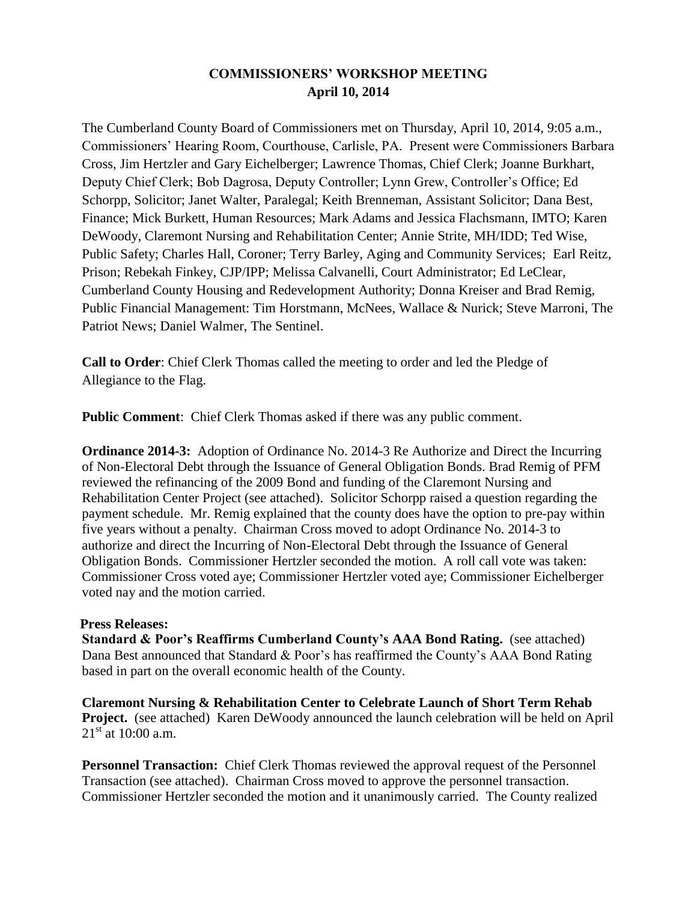# **COMMISSIONERS' WORKSHOP MEETING April 10, 2014**

The Cumberland County Board of Commissioners met on Thursday, April 10, 2014, 9:05 a.m., Commissioners' Hearing Room, Courthouse, Carlisle, PA. Present were Commissioners Barbara Cross, Jim Hertzler and Gary Eichelberger; Lawrence Thomas, Chief Clerk; Joanne Burkhart, Deputy Chief Clerk; Bob Dagrosa, Deputy Controller; Lynn Grew, Controller's Office; Ed Schorpp, Solicitor; Janet Walter, Paralegal; Keith Brenneman, Assistant Solicitor; Dana Best, Finance; Mick Burkett, Human Resources; Mark Adams and Jessica Flachsmann, IMTO; Karen DeWoody, Claremont Nursing and Rehabilitation Center; Annie Strite, MH/IDD; Ted Wise, Public Safety; Charles Hall, Coroner; Terry Barley, Aging and Community Services; Earl Reitz, Prison; Rebekah Finkey, CJP/IPP; Melissa Calvanelli, Court Administrator; Ed LeClear, Cumberland County Housing and Redevelopment Authority; Donna Kreiser and Brad Remig, Public Financial Management: Tim Horstmann, McNees, Wallace & Nurick; Steve Marroni, The Patriot News; Daniel Walmer, The Sentinel.

**Call to Order**: Chief Clerk Thomas called the meeting to order and led the Pledge of Allegiance to the Flag.

**Public Comment**: Chief Clerk Thomas asked if there was any public comment.

**Ordinance 2014-3:** Adoption of Ordinance No. 2014-3 Re Authorize and Direct the Incurring of Non-Electoral Debt through the Issuance of General Obligation Bonds. Brad Remig of PFM reviewed the refinancing of the 2009 Bond and funding of the Claremont Nursing and Rehabilitation Center Project (see attached). Solicitor Schorpp raised a question regarding the payment schedule. Mr. Remig explained that the county does have the option to pre-pay within five years without a penalty. Chairman Cross moved to adopt Ordinance No. 2014-3 to authorize and direct the Incurring of Non-Electoral Debt through the Issuance of General Obligation Bonds. Commissioner Hertzler seconded the motion. A roll call vote was taken: Commissioner Cross voted aye; Commissioner Hertzler voted aye; Commissioner Eichelberger voted nay and the motion carried.

#### **Press Releases:**

**Standard & Poor's Reaffirms Cumberland County's AAA Bond Rating.** (see attached) Dana Best announced that Standard & Poor's has reaffirmed the County's AAA Bond Rating based in part on the overall economic health of the County.

**Claremont Nursing & Rehabilitation Center to Celebrate Launch of Short Term Rehab Project.** (see attached) Karen DeWoody announced the launch celebration will be held on April  $21^{\text{st}}$  at 10:00 a.m.

**Personnel Transaction:** Chief Clerk Thomas reviewed the approval request of the Personnel Transaction (see attached). Chairman Cross moved to approve the personnel transaction. Commissioner Hertzler seconded the motion and it unanimously carried. The County realized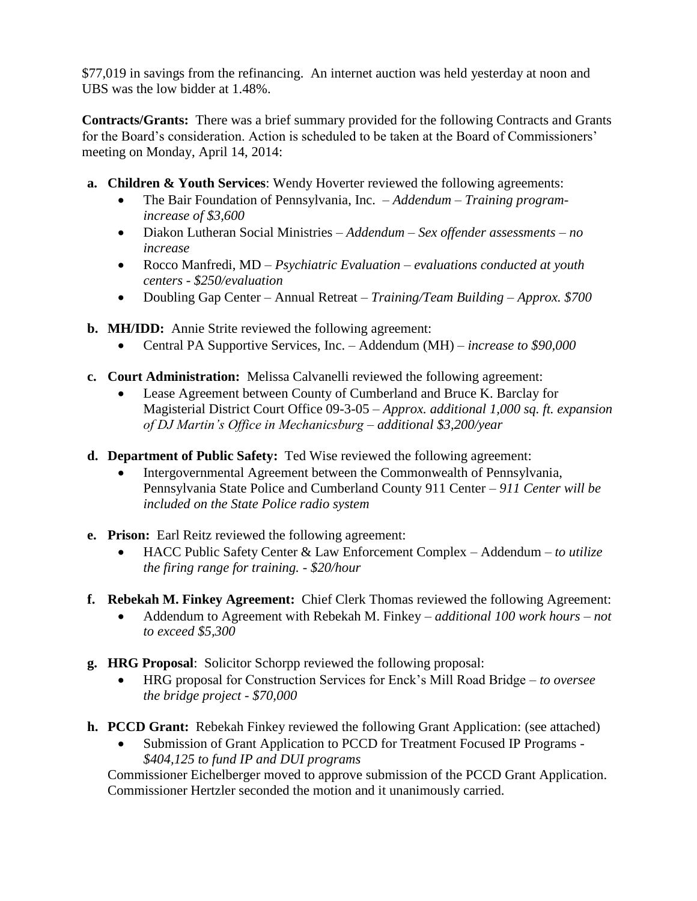\$77,019 in savings from the refinancing. An internet auction was held yesterday at noon and UBS was the low bidder at 1.48%.

**Contracts/Grants:** There was a brief summary provided for the following Contracts and Grants for the Board's consideration. Action is scheduled to be taken at the Board of Commissioners' meeting on Monday, April 14, 2014:

- **a. Children & Youth Services**: Wendy Hoverter reviewed the following agreements:
	- The Bair Foundation of Pennsylvania, Inc.  *Addendum Training programincrease of \$3,600*
	- Diakon Lutheran Social Ministries *Addendum – Sex offender assessments – no increase*
	- Rocco Manfredi, MD *Psychiatric Evaluation – evaluations conducted at youth centers - \$250/evaluation*
	- Doubling Gap Center Annual Retreat *Training/Team Building – Approx. \$700*
- **b. MH/IDD:** Annie Strite reviewed the following agreement:
	- Central PA Supportive Services, Inc. Addendum (MH) *increase to \$90,000*
- **c. Court Administration:** Melissa Calvanelli reviewed the following agreement:
	- Lease Agreement between County of Cumberland and Bruce K. Barclay for Magisterial District Court Office 09-3-05 – *Approx. additional 1,000 sq. ft. expansion of DJ Martin's Office in Mechanicsburg – additional \$3,200/year*
- **d. Department of Public Safety:** Ted Wise reviewed the following agreement:
	- Intergovernmental Agreement between the Commonwealth of Pennsylvania, Pennsylvania State Police and Cumberland County 911 Center – *911 Center will be included on the State Police radio system*
- **e. Prison:** Earl Reitz reviewed the following agreement:
	- HACC Public Safety Center & Law Enforcement Complex Addendum *to utilize the firing range for training. - \$20/hour*
- **f. Rebekah M. Finkey Agreement:** Chief Clerk Thomas reviewed the following Agreement:
	- Addendum to Agreement with Rebekah M. Finkey *additional 100 work hours – not to exceed \$5,300*
- **g. HRG Proposal**: Solicitor Schorpp reviewed the following proposal:
	- HRG proposal for Construction Services for Enck's Mill Road Bridge *to oversee the bridge project - \$70,000*
- **h. PCCD Grant:** Rebekah Finkey reviewed the following Grant Application: (see attached)
	- Submission of Grant Application to PCCD for Treatment Focused IP Programs *\$404,125 to fund IP and DUI programs*

Commissioner Eichelberger moved to approve submission of the PCCD Grant Application. Commissioner Hertzler seconded the motion and it unanimously carried.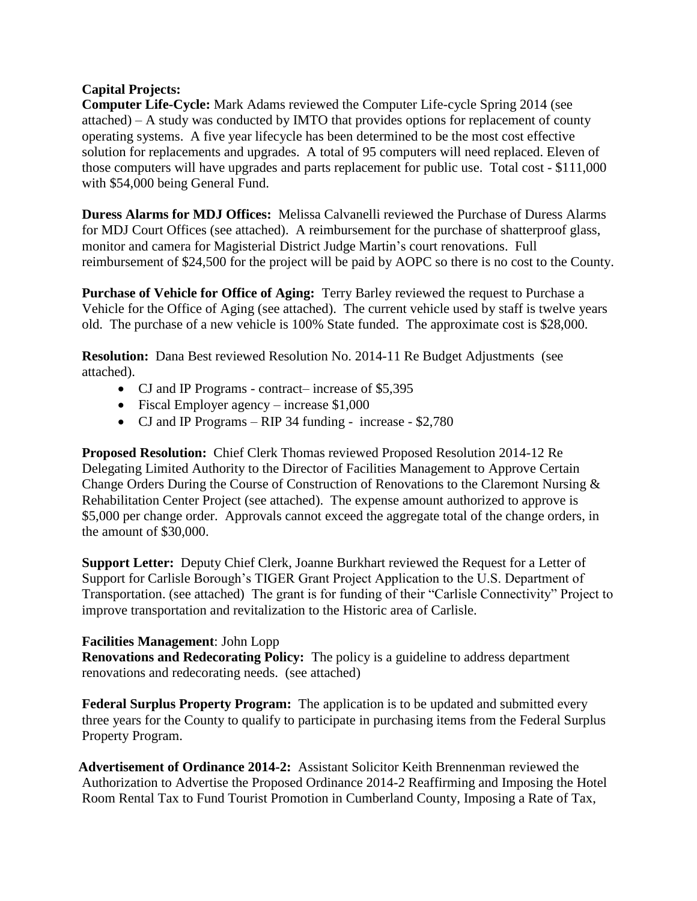#### **Capital Projects:**

**Computer Life-Cycle:** Mark Adams reviewed the Computer Life-cycle Spring 2014 (see attached) – A study was conducted by IMTO that provides options for replacement of county operating systems. A five year lifecycle has been determined to be the most cost effective solution for replacements and upgrades. A total of 95 computers will need replaced. Eleven of those computers will have upgrades and parts replacement for public use. Total cost - \$111,000 with \$54,000 being General Fund.

**Duress Alarms for MDJ Offices:** Melissa Calvanelli reviewed the Purchase of Duress Alarms for MDJ Court Offices (see attached). A reimbursement for the purchase of shatterproof glass, monitor and camera for Magisterial District Judge Martin's court renovations. Full reimbursement of \$24,500 for the project will be paid by AOPC so there is no cost to the County.

**Purchase of Vehicle for Office of Aging:** Terry Barley reviewed the request to Purchase a Vehicle for the Office of Aging (see attached). The current vehicle used by staff is twelve years old. The purchase of a new vehicle is 100% State funded. The approximate cost is \$28,000.

**Resolution:** Dana Best reviewed Resolution No. 2014-11 Re Budget Adjustments (see attached).

- CJ and IP Programs contract– increase of \$5,395
- Fiscal Employer agency increase \$1,000
- CJ and IP Programs RIP 34 funding increase \$2,780

**Proposed Resolution:** Chief Clerk Thomas reviewed Proposed Resolution 2014-12 Re Delegating Limited Authority to the Director of Facilities Management to Approve Certain Change Orders During the Course of Construction of Renovations to the Claremont Nursing & Rehabilitation Center Project (see attached). The expense amount authorized to approve is \$5,000 per change order. Approvals cannot exceed the aggregate total of the change orders, in the amount of \$30,000.

**Support Letter:** Deputy Chief Clerk, Joanne Burkhart reviewed the Request for a Letter of Support for Carlisle Borough's TIGER Grant Project Application to the U.S. Department of Transportation. (see attached) The grant is for funding of their "Carlisle Connectivity" Project to improve transportation and revitalization to the Historic area of Carlisle.

### **Facilities Management**: John Lopp

**Renovations and Redecorating Policy:** The policy is a guideline to address department renovations and redecorating needs. (see attached)

**Federal Surplus Property Program:** The application is to be updated and submitted every three years for the County to qualify to participate in purchasing items from the Federal Surplus Property Program.

**Advertisement of Ordinance 2014-2:** Assistant Solicitor Keith Brennenman reviewed the Authorization to Advertise the Proposed Ordinance 2014-2 Reaffirming and Imposing the Hotel Room Rental Tax to Fund Tourist Promotion in Cumberland County, Imposing a Rate of Tax,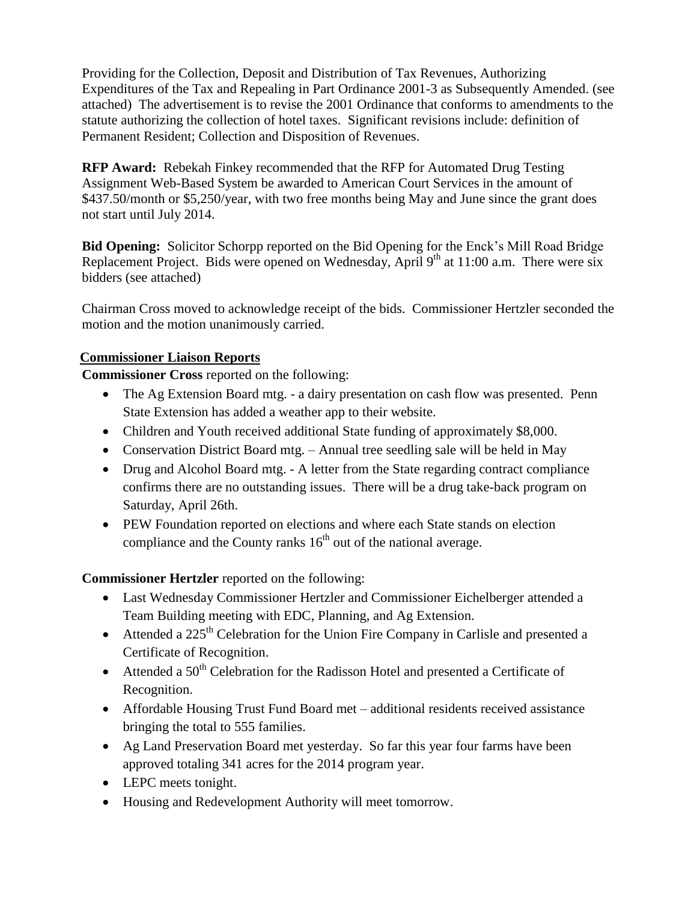Providing for the Collection, Deposit and Distribution of Tax Revenues, Authorizing Expenditures of the Tax and Repealing in Part Ordinance 2001-3 as Subsequently Amended. (see attached) The advertisement is to revise the 2001 Ordinance that conforms to amendments to the statute authorizing the collection of hotel taxes. Significant revisions include: definition of Permanent Resident; Collection and Disposition of Revenues.

**RFP Award:** Rebekah Finkey recommended that the RFP for Automated Drug Testing Assignment Web-Based System be awarded to American Court Services in the amount of \$437.50/month or \$5,250/year, with two free months being May and June since the grant does not start until July 2014.

**Bid Opening:** Solicitor Schorpp reported on the Bid Opening for the Enck's Mill Road Bridge Replacement Project. Bids were opened on Wednesday, April  $9<sup>th</sup>$  at 11:00 a.m. There were six bidders (see attached)

Chairman Cross moved to acknowledge receipt of the bids. Commissioner Hertzler seconded the motion and the motion unanimously carried.

## **Commissioner Liaison Reports**

**Commissioner Cross** reported on the following:

- The Ag Extension Board mtg. a dairy presentation on cash flow was presented. Penn State Extension has added a weather app to their website.
- Children and Youth received additional State funding of approximately \$8,000.
- Conservation District Board mtg. Annual tree seedling sale will be held in May
- Drug and Alcohol Board mtg. A letter from the State regarding contract compliance confirms there are no outstanding issues. There will be a drug take-back program on Saturday, April 26th.
- PEW Foundation reported on elections and where each State stands on election compliance and the County ranks  $16<sup>th</sup>$  out of the national average.

**Commissioner Hertzler** reported on the following:

- Last Wednesday Commissioner Hertzler and Commissioner Eichelberger attended a Team Building meeting with EDC, Planning, and Ag Extension.
- Attended a  $225<sup>th</sup>$  Celebration for the Union Fire Company in Carlisle and presented a Certificate of Recognition.
- $\bullet$  Attended a 50<sup>th</sup> Celebration for the Radisson Hotel and presented a Certificate of Recognition.
- Affordable Housing Trust Fund Board met additional residents received assistance bringing the total to 555 families.
- Ag Land Preservation Board met yesterday. So far this year four farms have been approved totaling 341 acres for the 2014 program year.
- LEPC meets tonight.
- Housing and Redevelopment Authority will meet tomorrow.